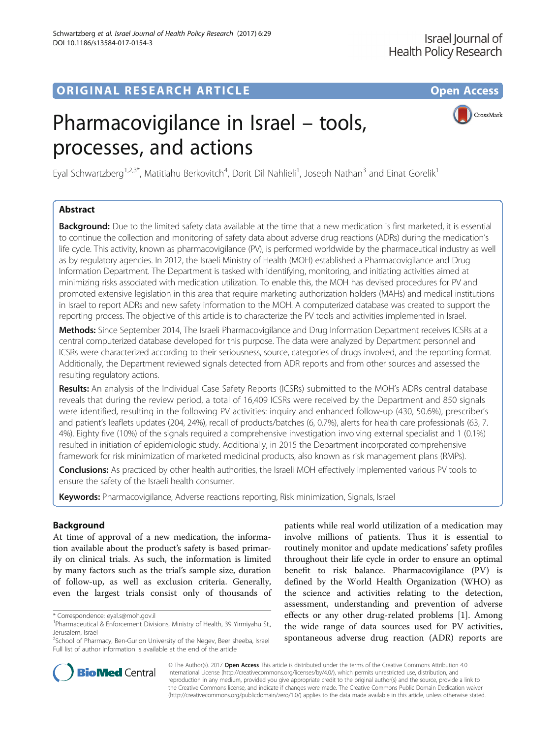# **ORIGINAL RESEARCH ARTICLE CONSUMING ACCESS**

CrossMark

# Pharmacovigilance in Israel – tools, processes, and actions

Eyal Schwartzberg<sup>1,2,3\*</sup>, Matitiahu Berkovitch<sup>4</sup>, Dorit Dil Nahlieli<sup>1</sup>, Joseph Nathan<sup>3</sup> and Einat Gorelik<sup>1</sup>

# Abstract

**Background:** Due to the limited safety data available at the time that a new medication is first marketed, it is essential to continue the collection and monitoring of safety data about adverse drug reactions (ADRs) during the medication's life cycle. This activity, known as pharmacovigilance (PV), is performed worldwide by the pharmaceutical industry as well as by regulatory agencies. In 2012, the Israeli Ministry of Health (MOH) established a Pharmacovigilance and Drug Information Department. The Department is tasked with identifying, monitoring, and initiating activities aimed at minimizing risks associated with medication utilization. To enable this, the MOH has devised procedures for PV and promoted extensive legislation in this area that require marketing authorization holders (MAHs) and medical institutions in Israel to report ADRs and new safety information to the MOH. A computerized database was created to support the reporting process. The objective of this article is to characterize the PV tools and activities implemented in Israel.

Methods: Since September 2014, The Israeli Pharmacovigilance and Drug Information Department receives ICSRs at a central computerized database developed for this purpose. The data were analyzed by Department personnel and ICSRs were characterized according to their seriousness, source, categories of drugs involved, and the reporting format. Additionally, the Department reviewed signals detected from ADR reports and from other sources and assessed the resulting regulatory actions.

Results: An analysis of the Individual Case Safety Reports (ICSRs) submitted to the MOH's ADRs central database reveals that during the review period, a total of 16,409 ICSRs were received by the Department and 850 signals were identified, resulting in the following PV activities: inquiry and enhanced follow-up (430, 50.6%), prescriber's and patient's leaflets updates (204, 24%), recall of products/batches (6, 0.7%), alerts for health care professionals (63, 7. 4%). Eighty five (10%) of the signals required a comprehensive investigation involving external specialist and 1 (0.1%) resulted in initiation of epidemiologic study. Additionally, in 2015 the Department incorporated comprehensive framework for risk minimization of marketed medicinal products, also known as risk management plans (RMPs).

Conclusions: As practiced by other health authorities, the Israeli MOH effectively implemented various PV tools to ensure the safety of the Israeli health consumer.

Keywords: Pharmacovigilance, Adverse reactions reporting, Risk minimization, Signals, Israel

# Background

At time of approval of a new medication, the information available about the product's safety is based primarily on clinical trials. As such, the information is limited by many factors such as the trial's sample size, duration of follow-up, as well as exclusion criteria. Generally, even the largest trials consist only of thousands of patients while real world utilization of a medication may involve millions of patients. Thus it is essential to routinely monitor and update medications' safety profiles throughout their life cycle in order to ensure an optimal benefit to risk balance. Pharmacovigilance (PV) is defined by the World Health Organization (WHO) as the science and activities relating to the detection, assessment, understanding and prevention of adverse effects or any other drug-related problems [[1](#page-7-0)]. Among the wide range of data sources used for PV activities, spontaneous adverse drug reaction (ADR) reports are



© The Author(s). 2017 **Open Access** This article is distributed under the terms of the Creative Commons Attribution 4.0 International License [\(http://creativecommons.org/licenses/by/4.0/](http://creativecommons.org/licenses/by/4.0/)), which permits unrestricted use, distribution, and reproduction in any medium, provided you give appropriate credit to the original author(s) and the source, provide a link to the Creative Commons license, and indicate if changes were made. The Creative Commons Public Domain Dedication waiver [\(http://creativecommons.org/publicdomain/zero/1.0/](http://creativecommons.org/publicdomain/zero/1.0/)) applies to the data made available in this article, unless otherwise stated.

<sup>\*</sup> Correspondence: [eyal.s@moh.gov.il](mailto:eyal.s@moh.gov.il) <sup>1</sup>

<sup>&</sup>lt;sup>1</sup>Pharmaceutical & Enforcement Divisions, Ministry of Health, 39 Yirmiyahu St., Jerusalem, Israel

<sup>&</sup>lt;sup>2</sup>School of Pharmacy, Ben-Gurion University of the Negev, Beer sheeba, Israel Full list of author information is available at the end of the article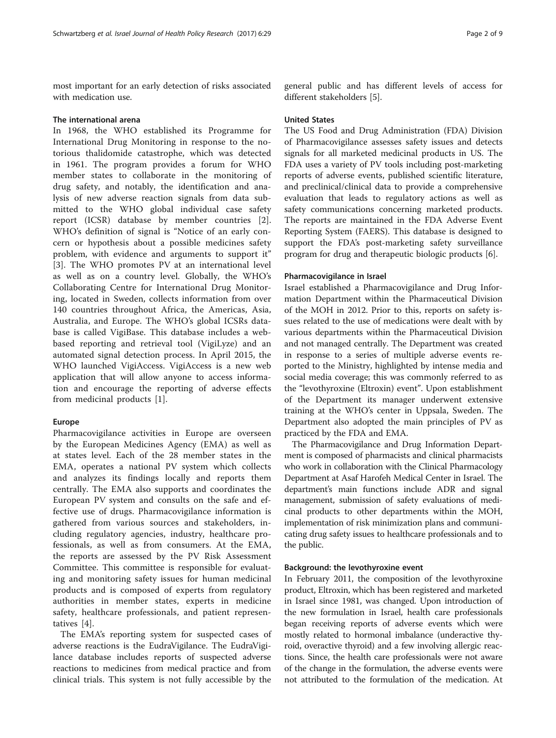most important for an early detection of risks associated with medication use.

## The international arena

In 1968, the WHO established its Programme for International Drug Monitoring in response to the notorious thalidomide catastrophe, which was detected in 1961. The program provides a forum for WHO member states to collaborate in the monitoring of drug safety, and notably, the identification and analysis of new adverse reaction signals from data submitted to the WHO global individual case safety report (ICSR) database by member countries [\[2](#page-7-0)]. WHO's definition of signal is "Notice of an early concern or hypothesis about a possible medicines safety problem, with evidence and arguments to support it" [[3\]](#page-7-0). The WHO promotes PV at an international level as well as on a country level. Globally, the WHO's Collaborating Centre for International Drug Monitoring, located in Sweden, collects information from over 140 countries throughout Africa, the Americas, Asia, Australia, and Europe. The WHO's global ICSRs database is called VigiBase. This database includes a webbased reporting and retrieval tool (VigiLyze) and an automated signal detection process. In April 2015, the WHO launched VigiAccess. VigiAccess is a new web application that will allow anyone to access information and encourage the reporting of adverse effects from medicinal products [\[1](#page-7-0)].

# Europe

Pharmacovigilance activities in Europe are overseen by the European Medicines Agency (EMA) as well as at states level. Each of the 28 member states in the EMA, operates a national PV system which collects and analyzes its findings locally and reports them centrally. The EMA also supports and coordinates the European PV system and consults on the safe and effective use of drugs. Pharmacovigilance information is gathered from various sources and stakeholders, including regulatory agencies, industry, healthcare professionals, as well as from consumers. At the EMA, the reports are assessed by the PV Risk Assessment Committee. This committee is responsible for evaluating and monitoring safety issues for human medicinal products and is composed of experts from regulatory authorities in member states, experts in medicine safety, healthcare professionals, and patient representatives [\[4](#page-7-0)].

The EMA's reporting system for suspected cases of adverse reactions is the EudraVigilance. The EudraVigilance database includes reports of suspected adverse reactions to medicines from medical practice and from clinical trials. This system is not fully accessible by the

general public and has different levels of access for different stakeholders [\[5](#page-7-0)].

## United States

The US Food and Drug Administration (FDA) Division of Pharmacovigilance assesses safety issues and detects signals for all marketed medicinal products in US. The FDA uses a variety of PV tools including post-marketing reports of adverse events, published scientific literature, and preclinical/clinical data to provide a comprehensive evaluation that leads to regulatory actions as well as safety communications concerning marketed products. The reports are maintained in the FDA Adverse Event Reporting System (FAERS). This database is designed to support the FDA's post-marketing safety surveillance program for drug and therapeutic biologic products [\[6](#page-8-0)].

# Pharmacovigilance in Israel

Israel established a Pharmacovigilance and Drug Information Department within the Pharmaceutical Division of the MOH in 2012. Prior to this, reports on safety issues related to the use of medications were dealt with by various departments within the Pharmaceutical Division and not managed centrally. The Department was created in response to a series of multiple adverse events reported to the Ministry, highlighted by intense media and social media coverage; this was commonly referred to as the "levothyroxine (Eltroxin) event". Upon establishment of the Department its manager underwent extensive training at the WHO's center in Uppsala, Sweden. The Department also adopted the main principles of PV as practiced by the FDA and EMA.

The Pharmacovigilance and Drug Information Department is composed of pharmacists and clinical pharmacists who work in collaboration with the Clinical Pharmacology Department at Asaf Harofeh Medical Center in Israel. The department's main functions include ADR and signal management, submission of safety evaluations of medicinal products to other departments within the MOH, implementation of risk minimization plans and communicating drug safety issues to healthcare professionals and to the public.

## Background: the levothyroxine event

In February 2011, the composition of the levothyroxine product, Eltroxin, which has been registered and marketed in Israel since 1981, was changed. Upon introduction of the new formulation in Israel, health care professionals began receiving reports of adverse events which were mostly related to hormonal imbalance (underactive thyroid, overactive thyroid) and a few involving allergic reactions. Since, the health care professionals were not aware of the change in the formulation, the adverse events were not attributed to the formulation of the medication. At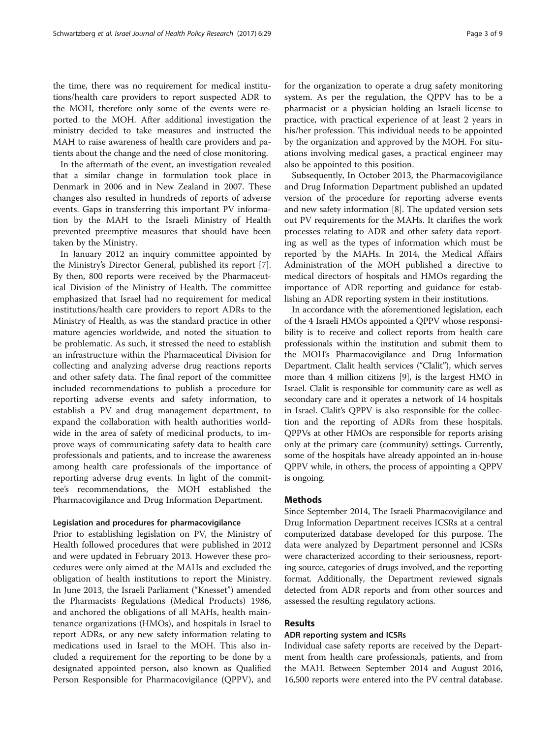the time, there was no requirement for medical institutions/health care providers to report suspected ADR to the MOH, therefore only some of the events were reported to the MOH. After additional investigation the ministry decided to take measures and instructed the MAH to raise awareness of health care providers and patients about the change and the need of close monitoring.

In the aftermath of the event, an investigation revealed that a similar change in formulation took place in Denmark in 2006 and in New Zealand in 2007. These changes also resulted in hundreds of reports of adverse events. Gaps in transferring this important PV information by the MAH to the Israeli Ministry of Health prevented preemptive measures that should have been taken by the Ministry.

In January 2012 an inquiry committee appointed by the Ministry's Director General, published its report [\[7](#page-8-0)]. By then, 800 reports were received by the Pharmaceutical Division of the Ministry of Health. The committee emphasized that Israel had no requirement for medical institutions/health care providers to report ADRs to the Ministry of Health, as was the standard practice in other mature agencies worldwide, and noted the situation to be problematic. As such, it stressed the need to establish an infrastructure within the Pharmaceutical Division for collecting and analyzing adverse drug reactions reports and other safety data. The final report of the committee included recommendations to publish a procedure for reporting adverse events and safety information, to establish a PV and drug management department, to expand the collaboration with health authorities worldwide in the area of safety of medicinal products, to improve ways of communicating safety data to health care professionals and patients, and to increase the awareness among health care professionals of the importance of reporting adverse drug events. In light of the committee's recommendations, the MOH established the Pharmacovigilance and Drug Information Department.

#### Legislation and procedures for pharmacovigilance

Prior to establishing legislation on PV, the Ministry of Health followed procedures that were published in 2012 and were updated in February 2013. However these procedures were only aimed at the MAHs and excluded the obligation of health institutions to report the Ministry. In June 2013, the Israeli Parliament ("Knesset") amended the Pharmacists Regulations (Medical Products) 1986, and anchored the obligations of all MAHs, health maintenance organizations (HMOs), and hospitals in Israel to report ADRs, or any new safety information relating to medications used in Israel to the MOH. This also included a requirement for the reporting to be done by a designated appointed person, also known as Qualified Person Responsible for Pharmacovigilance (QPPV), and for the organization to operate a drug safety monitoring system. As per the regulation, the QPPV has to be a pharmacist or a physician holding an Israeli license to practice, with practical experience of at least 2 years in his/her profession. This individual needs to be appointed by the organization and approved by the MOH. For situations involving medical gases, a practical engineer may also be appointed to this position.

Subsequently, In October 2013, the Pharmacovigilance and Drug Information Department published an updated version of the procedure for reporting adverse events and new safety information [[8\]](#page-8-0). The updated version sets out PV requirements for the MAHs. It clarifies the work processes relating to ADR and other safety data reporting as well as the types of information which must be reported by the MAHs. In 2014, the Medical Affairs Administration of the MOH published a directive to medical directors of hospitals and HMOs regarding the importance of ADR reporting and guidance for establishing an ADR reporting system in their institutions.

In accordance with the aforementioned legislation, each of the 4 Israeli HMOs appointed a QPPV whose responsibility is to receive and collect reports from health care professionals within the institution and submit them to the MOH's Pharmacovigilance and Drug Information Department. Clalit health services ("Clalit"), which serves more than 4 million citizens [[9\]](#page-8-0), is the largest HMO in Israel. Clalit is responsible for community care as well as secondary care and it operates a network of 14 hospitals in Israel. Clalit's QPPV is also responsible for the collection and the reporting of ADRs from these hospitals. QPPVs at other HMOs are responsible for reports arising only at the primary care (community) settings. Currently, some of the hospitals have already appointed an in-house QPPV while, in others, the process of appointing a QPPV is ongoing.

# **Methods**

Since September 2014, The Israeli Pharmacovigilance and Drug Information Department receives ICSRs at a central computerized database developed for this purpose. The data were analyzed by Department personnel and ICSRs were characterized according to their seriousness, reporting source, categories of drugs involved, and the reporting format. Additionally, the Department reviewed signals detected from ADR reports and from other sources and assessed the resulting regulatory actions.

# Results

# ADR reporting system and ICSRs

Individual case safety reports are received by the Department from health care professionals, patients, and from the MAH. Between September 2014 and August 2016, 16,500 reports were entered into the PV central database.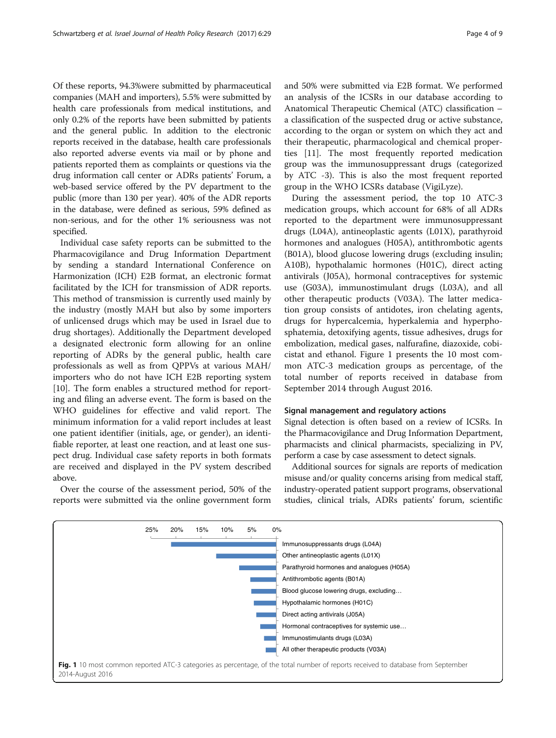Of these reports, 94.3%were submitted by pharmaceutical companies (MAH and importers), 5.5% were submitted by health care professionals from medical institutions, and only 0.2% of the reports have been submitted by patients and the general public. In addition to the electronic reports received in the database, health care professionals also reported adverse events via mail or by phone and patients reported them as complaints or questions via the drug information call center or ADRs patients' Forum, a web-based service offered by the PV department to the public (more than 130 per year). 40% of the ADR reports in the database, were defined as serious, 59% defined as non-serious, and for the other 1% seriousness was not specified.

Individual case safety reports can be submitted to the Pharmacovigilance and Drug Information Department by sending a standard International Conference on Harmonization (ICH) E2B format, an electronic format facilitated by the ICH for transmission of ADR reports. This method of transmission is currently used mainly by the industry (mostly MAH but also by some importers of unlicensed drugs which may be used in Israel due to drug shortages). Additionally the Department developed a designated electronic form allowing for an online reporting of ADRs by the general public, health care professionals as well as from QPPVs at various MAH/ importers who do not have ICH E2B reporting system [[10\]](#page-8-0). The form enables a structured method for reporting and filing an adverse event. The form is based on the WHO guidelines for effective and valid report. The minimum information for a valid report includes at least one patient identifier (initials, age, or gender), an identifiable reporter, at least one reaction, and at least one suspect drug. Individual case safety reports in both formats are received and displayed in the PV system described above.

Over the course of the assessment period, 50% of the reports were submitted via the online government form and 50% were submitted via E2B format. We performed an analysis of the ICSRs in our database according to Anatomical Therapeutic Chemical (ATC) classification – a classification of the suspected drug or active substance, according to the organ or system on which they act and their therapeutic, pharmacological and chemical properties [\[11\]](#page-8-0). The most frequently reported medication group was the immunosuppressant drugs (categorized by ATC -3). This is also the most frequent reported group in the WHO ICSRs database (VigiLyze).

During the assessment period, the top 10 ATC-3 medication groups, which account for 68% of all ADRs reported to the department were immunosuppressant drugs (L04A), antineoplastic agents (L01X), parathyroid hormones and analogues (H05A), antithrombotic agents (B01A), blood glucose lowering drugs (excluding insulin; A10B), hypothalamic hormones (H01C), direct acting antivirals (J05A), hormonal contraceptives for systemic use (G03A), immunostimulant drugs (L03A), and all other therapeutic products (V03A). The latter medication group consists of antidotes, iron chelating agents, drugs for hypercalcemia, hyperkalemia and hyperphosphatemia, detoxifying agents, tissue adhesives, drugs for embolization, medical gases, nalfurafine, diazoxide, cobicistat and ethanol. Figure 1 presents the 10 most common ATC-3 medication groups as percentage, of the total number of reports received in database from September 2014 through August 2016.

# Signal management and regulatory actions

Signal detection is often based on a review of ICSRs. In the Pharmacovigilance and Drug Information Department, pharmacists and clinical pharmacists, specializing in PV, perform a case by case assessment to detect signals.

Additional sources for signals are reports of medication misuse and/or quality concerns arising from medical staff, industry-operated patient support programs, observational studies, clinical trials, ADRs patients' forum, scientific

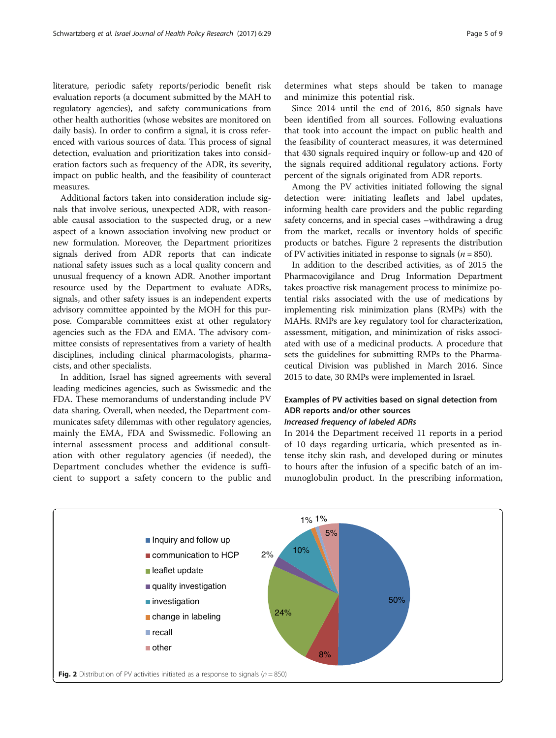literature, periodic safety reports/periodic benefit risk evaluation reports (a document submitted by the MAH to regulatory agencies), and safety communications from other health authorities (whose websites are monitored on daily basis). In order to confirm a signal, it is cross referenced with various sources of data. This process of signal detection, evaluation and prioritization takes into consideration factors such as frequency of the ADR, its severity, impact on public health, and the feasibility of counteract measures.

Additional factors taken into consideration include signals that involve serious, unexpected ADR, with reasonable causal association to the suspected drug, or a new aspect of a known association involving new product or new formulation. Moreover, the Department prioritizes signals derived from ADR reports that can indicate national safety issues such as a local quality concern and unusual frequency of a known ADR. Another important resource used by the Department to evaluate ADRs, signals, and other safety issues is an independent experts advisory committee appointed by the MOH for this purpose. Comparable committees exist at other regulatory agencies such as the FDA and EMA. The advisory committee consists of representatives from a variety of health disciplines, including clinical pharmacologists, pharmacists, and other specialists.

In addition, Israel has signed agreements with several leading medicines agencies, such as Swissmedic and the FDA. These memorandums of understanding include PV data sharing. Overall, when needed, the Department communicates safety dilemmas with other regulatory agencies, mainly the EMA, FDA and Swissmedic. Following an internal assessment process and additional consultation with other regulatory agencies (if needed), the Department concludes whether the evidence is sufficient to support a safety concern to the public and

determines what steps should be taken to manage and minimize this potential risk.

Since 2014 until the end of 2016, 850 signals have been identified from all sources. Following evaluations that took into account the impact on public health and the feasibility of counteract measures, it was determined that 430 signals required inquiry or follow-up and 420 of the signals required additional regulatory actions. Forty percent of the signals originated from ADR reports.

Among the PV activities initiated following the signal detection were: initiating leaflets and label updates, informing health care providers and the public regarding safety concerns, and in special cases –withdrawing a drug from the market, recalls or inventory holds of specific products or batches. Figure 2 represents the distribution of PV activities initiated in response to signals ( $n = 850$ ).

In addition to the described activities, as of 2015 the Pharmacovigilance and Drug Information Department takes proactive risk management process to minimize potential risks associated with the use of medications by implementing risk minimization plans (RMPs) with the MAHs. RMPs are key regulatory tool for characterization, assessment, mitigation, and minimization of risks associated with use of a medicinal products. A procedure that sets the guidelines for submitting RMPs to the Pharmaceutical Division was published in March 2016. Since 2015 to date, 30 RMPs were implemented in Israel.

# Examples of PV activities based on signal detection from ADR reports and/or other sources

# Increased frequency of labeled ADRs

In 2014 the Department received 11 reports in a period of 10 days regarding urticaria, which presented as intense itchy skin rash, and developed during or minutes to hours after the infusion of a specific batch of an immunoglobulin product. In the prescribing information,

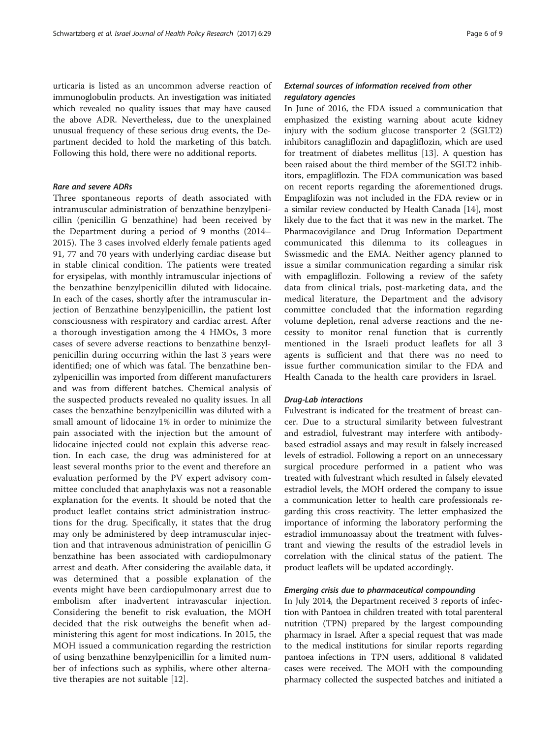urticaria is listed as an uncommon adverse reaction of immunoglobulin products. An investigation was initiated which revealed no quality issues that may have caused the above ADR. Nevertheless, due to the unexplained unusual frequency of these serious drug events, the Department decided to hold the marketing of this batch. Following this hold, there were no additional reports.

# Rare and severe ADRs

Three spontaneous reports of death associated with intramuscular administration of benzathine benzylpenicillin (penicillin G benzathine) had been received by the Department during a period of 9 months (2014– 2015). The 3 cases involved elderly female patients aged 91, 77 and 70 years with underlying cardiac disease but in stable clinical condition. The patients were treated for erysipelas, with monthly intramuscular injections of the benzathine benzylpenicillin diluted with lidocaine. In each of the cases, shortly after the intramuscular injection of Benzathine benzylpenicillin, the patient lost consciousness with respiratory and cardiac arrest. After a thorough investigation among the 4 HMOs, 3 more cases of severe adverse reactions to benzathine benzylpenicillin during occurring within the last 3 years were identified; one of which was fatal. The benzathine benzylpenicillin was imported from different manufacturers and was from different batches. Chemical analysis of the suspected products revealed no quality issues. In all cases the benzathine benzylpenicillin was diluted with a small amount of lidocaine 1% in order to minimize the pain associated with the injection but the amount of lidocaine injected could not explain this adverse reaction. In each case, the drug was administered for at least several months prior to the event and therefore an evaluation performed by the PV expert advisory committee concluded that anaphylaxis was not a reasonable explanation for the events. It should be noted that the product leaflet contains strict administration instructions for the drug. Specifically, it states that the drug may only be administered by deep intramuscular injection and that intravenous administration of penicillin G benzathine has been associated with cardiopulmonary arrest and death. After considering the available data, it was determined that a possible explanation of the events might have been cardiopulmonary arrest due to embolism after inadvertent intravascular injection. Considering the benefit to risk evaluation, the MOH decided that the risk outweighs the benefit when administering this agent for most indications. In 2015, the MOH issued a communication regarding the restriction of using benzathine benzylpenicillin for a limited number of infections such as syphilis, where other alternative therapies are not suitable [\[12](#page-8-0)].

# External sources of information received from other regulatory agencies

In June of 2016, the FDA issued a communication that emphasized the existing warning about acute kidney injury with the sodium glucose transporter 2 (SGLT2) inhibitors canagliflozin and dapagliflozin, which are used for treatment of diabetes mellitus [[13\]](#page-8-0). A question has been raised about the third member of the SGLT2 inhibitors, empagliflozin. The FDA communication was based on recent reports regarding the aforementioned drugs. Empaglifozin was not included in the FDA review or in a similar review conducted by Health Canada [[14\]](#page-8-0), most likely due to the fact that it was new in the market. The Pharmacovigilance and Drug Information Department communicated this dilemma to its colleagues in Swissmedic and the EMA. Neither agency planned to issue a similar communication regarding a similar risk with empagliflozin. Following a review of the safety data from clinical trials, post-marketing data, and the medical literature, the Department and the advisory committee concluded that the information regarding volume depletion, renal adverse reactions and the necessity to monitor renal function that is currently mentioned in the Israeli product leaflets for all 3 agents is sufficient and that there was no need to issue further communication similar to the FDA and Health Canada to the health care providers in Israel.

# Drug-Lab interactions

Fulvestrant is indicated for the treatment of breast cancer. Due to a structural similarity between fulvestrant and estradiol, fulvestrant may interfere with antibodybased estradiol assays and may result in falsely increased levels of estradiol. Following a report on an unnecessary surgical procedure performed in a patient who was treated with fulvestrant which resulted in falsely elevated estradiol levels, the MOH ordered the company to issue a communication letter to health care professionals regarding this cross reactivity. The letter emphasized the importance of informing the laboratory performing the estradiol immunoassay about the treatment with fulvestrant and viewing the results of the estradiol levels in correlation with the clinical status of the patient. The product leaflets will be updated accordingly.

# Emerging crisis due to pharmaceutical compounding

In July 2014, the Department received 3 reports of infection with Pantoea in children treated with total parenteral nutrition (TPN) prepared by the largest compounding pharmacy in Israel. After a special request that was made to the medical institutions for similar reports regarding pantoea infections in TPN users, additional 8 validated cases were received. The MOH with the compounding pharmacy collected the suspected batches and initiated a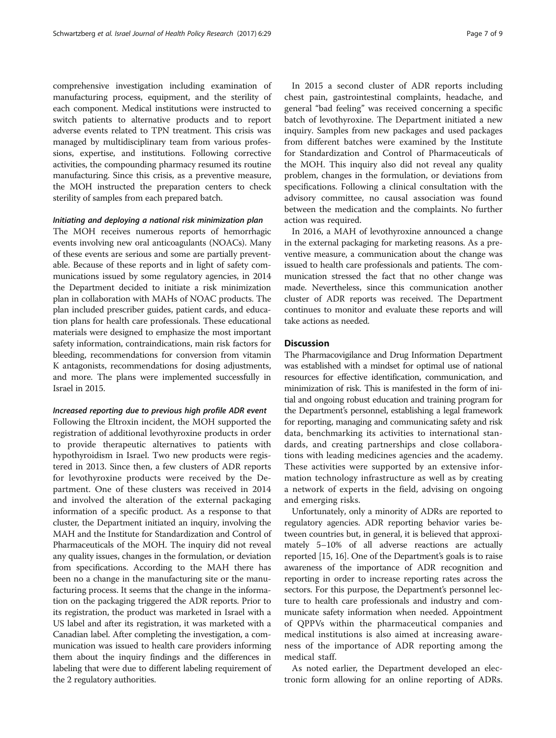comprehensive investigation including examination of manufacturing process, equipment, and the sterility of each component. Medical institutions were instructed to switch patients to alternative products and to report adverse events related to TPN treatment. This crisis was managed by multidisciplinary team from various professions, expertise, and institutions. Following corrective activities, the compounding pharmacy resumed its routine manufacturing. Since this crisis, as a preventive measure, the MOH instructed the preparation centers to check sterility of samples from each prepared batch.

#### Initiating and deploying a national risk minimization plan

The MOH receives numerous reports of hemorrhagic events involving new oral anticoagulants (NOACs). Many of these events are serious and some are partially preventable. Because of these reports and in light of safety communications issued by some regulatory agencies, in 2014 the Department decided to initiate a risk minimization plan in collaboration with MAHs of NOAC products. The plan included prescriber guides, patient cards, and education plans for health care professionals. These educational materials were designed to emphasize the most important safety information, contraindications, main risk factors for bleeding, recommendations for conversion from vitamin K antagonists, recommendations for dosing adjustments, and more. The plans were implemented successfully in Israel in 2015.

#### Increased reporting due to previous high profile ADR event

Following the Eltroxin incident, the MOH supported the registration of additional levothyroxine products in order to provide therapeutic alternatives to patients with hypothyroidism in Israel. Two new products were registered in 2013. Since then, a few clusters of ADR reports for levothyroxine products were received by the Department. One of these clusters was received in 2014 and involved the alteration of the external packaging information of a specific product. As a response to that cluster, the Department initiated an inquiry, involving the MAH and the Institute for Standardization and Control of Pharmaceuticals of the MOH. The inquiry did not reveal any quality issues, changes in the formulation, or deviation from specifications. According to the MAH there has been no a change in the manufacturing site or the manufacturing process. It seems that the change in the information on the packaging triggered the ADR reports. Prior to its registration, the product was marketed in Israel with a US label and after its registration, it was marketed with a Canadian label. After completing the investigation, a communication was issued to health care providers informing them about the inquiry findings and the differences in labeling that were due to different labeling requirement of the 2 regulatory authorities.

In 2015 a second cluster of ADR reports including chest pain, gastrointestinal complaints, headache, and general "bad feeling" was received concerning a specific batch of levothyroxine. The Department initiated a new inquiry. Samples from new packages and used packages from different batches were examined by the Institute for Standardization and Control of Pharmaceuticals of the MOH. This inquiry also did not reveal any quality problem, changes in the formulation, or deviations from specifications. Following a clinical consultation with the advisory committee, no causal association was found between the medication and the complaints. No further action was required.

In 2016, a MAH of levothyroxine announced a change in the external packaging for marketing reasons. As a preventive measure, a communication about the change was issued to health care professionals and patients. The communication stressed the fact that no other change was made. Nevertheless, since this communication another cluster of ADR reports was received. The Department continues to monitor and evaluate these reports and will take actions as needed.

# Discussion

The Pharmacovigilance and Drug Information Department was established with a mindset for optimal use of national resources for effective identification, communication, and minimization of risk. This is manifested in the form of initial and ongoing robust education and training program for the Department's personnel, establishing a legal framework for reporting, managing and communicating safety and risk data, benchmarking its activities to international standards, and creating partnerships and close collaborations with leading medicines agencies and the academy. These activities were supported by an extensive information technology infrastructure as well as by creating a network of experts in the field, advising on ongoing and emerging risks.

Unfortunately, only a minority of ADRs are reported to regulatory agencies. ADR reporting behavior varies between countries but, in general, it is believed that approximately 5–10% of all adverse reactions are actually reported [[15](#page-8-0), [16\]](#page-8-0). One of the Department's goals is to raise awareness of the importance of ADR recognition and reporting in order to increase reporting rates across the sectors. For this purpose, the Department's personnel lecture to health care professionals and industry and communicate safety information when needed. Appointment of QPPVs within the pharmaceutical companies and medical institutions is also aimed at increasing awareness of the importance of ADR reporting among the medical staff.

As noted earlier, the Department developed an electronic form allowing for an online reporting of ADRs.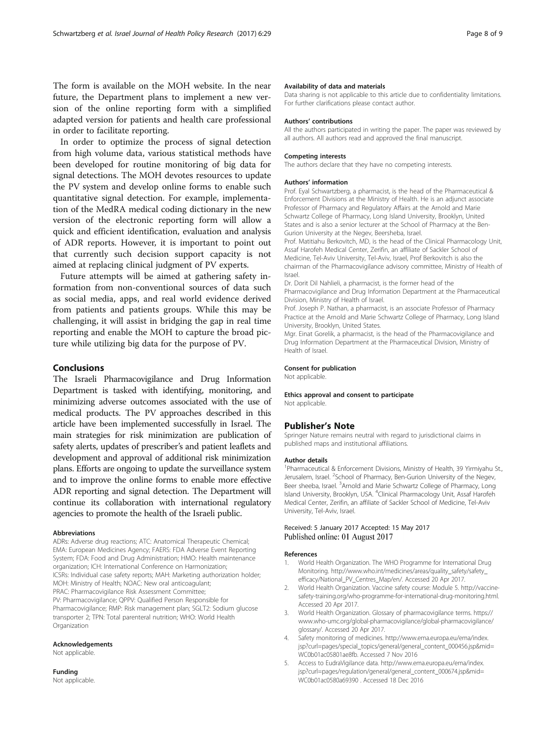<span id="page-7-0"></span>The form is available on the MOH website. In the near future, the Department plans to implement a new version of the online reporting form with a simplified adapted version for patients and health care professional in order to facilitate reporting.

In order to optimize the process of signal detection from high volume data, various statistical methods have been developed for routine monitoring of big data for signal detections. The MOH devotes resources to update the PV system and develop online forms to enable such quantitative signal detection. For example, implementation of the MedRA medical coding dictionary in the new version of the electronic reporting form will allow a quick and efficient identification, evaluation and analysis of ADR reports. However, it is important to point out that currently such decision support capacity is not aimed at replacing clinical judgment of PV experts.

Future attempts will be aimed at gathering safety information from non-conventional sources of data such as social media, apps, and real world evidence derived from patients and patients groups. While this may be challenging, it will assist in bridging the gap in real time reporting and enable the MOH to capture the broad picture while utilizing big data for the purpose of PV.

# Conclusions

The Israeli Pharmacovigilance and Drug Information Department is tasked with identifying, monitoring, and minimizing adverse outcomes associated with the use of medical products. The PV approaches described in this article have been implemented successfully in Israel. The main strategies for risk minimization are publication of safety alerts, updates of prescriber's and patient leaflets and development and approval of additional risk minimization plans. Efforts are ongoing to update the surveillance system and to improve the online forms to enable more effective ADR reporting and signal detection. The Department will continue its collaboration with international regulatory agencies to promote the health of the Israeli public.

#### Abbreviations

ADRs: Adverse drug reactions; ATC: Anatomical Therapeutic Chemical; EMA: European Medicines Agency; FAERS: FDA Adverse Event Reporting System; FDA: Food and Drug Administration; HMO: Health maintenance organization; ICH: International Conference on Harmonization; ICSRs: Individual case safety reports; MAH: Marketing authorization holder; MOH: Ministry of Health; NOAC: New oral anticoagulant; PRAC: Pharmacovigilance Risk Assessment Committee; PV: Pharmacovigilance; QPPV: Qualified Person Responsible for Pharmacovigilance; RMP: Risk management plan; SGLT2: Sodium glucose transporter 2; TPN: Total parenteral nutrition; WHO: World Health Organization

## Acknowledgements

Not applicable.

#### Funding

Not applicable.

#### Availability of data and materials

Data sharing is not applicable to this article due to confidentiality limitations. For further clarifications please contact author.

#### Authors' contributions

All the authors participated in writing the paper. The paper was reviewed by all authors. All authors read and approved the final manuscript.

#### Competing interests

The authors declare that they have no competing interests.

## Authors' information

Prof. Eyal Schwartzberg, a pharmacist, is the head of the Pharmaceutical & Enforcement Divisions at the Ministry of Health. He is an adjunct associate Professor of Pharmacy and Regulatory Affairs at the Arnold and Marie Schwartz College of Pharmacy, Long Island University, Brooklyn, United States and is also a senior lecturer at the School of Pharmacy at the Ben-Gurion University at the Negev, Beersheba, Israel.

Prof. Matitiahu Berkovitch, MD, is the head of the Clinical Pharmacology Unit, Assaf Harofeh Medical Center, Zerifin, an affiliate of Sackler School of Medicine, Tel-Aviv University, Tel-Aviv, Israel, Prof Berkovitch is also the chairman of the Pharmacovigilance advisory committee, Ministry of Health of Israel.

Dr. Dorit Dil Nahlieli, a pharmacist, is the former head of the Pharmacovigilance and Drug Information Department at the Pharmaceutical Division, Ministry of Health of Israel.

Prof. Joseph P. Nathan, a pharmacist, is an associate Professor of Pharmacy Practice at the Arnold and Marie Schwartz College of Pharmacy, Long Island University, Brooklyn, United States.

Mgr. Einat Gorelik, a pharmacist, is the head of the Pharmacovigilance and Drug Information Department at the Pharmaceutical Division, Ministry of Health of Israel.

#### Consent for publication

Not applicable.

# Ethics approval and consent to participate

Not applicable.

#### Publisher's Note

Springer Nature remains neutral with regard to jurisdictional claims in published maps and institutional affiliations.

#### Author details

<sup>1</sup>Pharmaceutical & Enforcement Divisions, Ministry of Health, 39 Yirmiyahu St. Jerusalem, Israel. <sup>2</sup>School of Pharmacy, Ben-Gurion University of the Negev Beer sheeba, Israel. <sup>3</sup> Arnold and Marie Schwartz College of Pharmacy, Long Island University, Brooklyn, USA. <sup>4</sup>Clinical Pharmacology Unit, Assaf Harofeh Medical Center, Zerifin, an affiliate of Sackler School of Medicine, Tel-Aviv University, Tel-Aviv, Israel.

#### Received: 5 January 2017 Accepted: 15 May 2017 Published online: 01 August 2017

#### References

- 1. World Health Organization. The WHO Programme for International Drug Monitoring. [http://www.who.int/medicines/areas/quality\\_safety/safety\\_](http://www.who.int/medicines/areas/quality_safety/safety_efficacy/National_PV_Centres_Map/en/) [efficacy/National\\_PV\\_Centres\\_Map/en/.](http://www.who.int/medicines/areas/quality_safety/safety_efficacy/National_PV_Centres_Map/en/) Accessed 20 Apr 2017.
- 2. World Health Organization. Vaccine safety course: Module 5. [http://vaccine](http://vaccine-safety-training.org/who-programme-for-international-drug-monitoring.html)[safety-training.org/who-programme-for-international-drug-monitoring.html.](http://vaccine-safety-training.org/who-programme-for-international-drug-monitoring.html) Accessed 20 Apr 2017.
- 3. World Health Organization. Glossary of pharmacovigilance terms. [https://](https://www.who-umc.org/global-pharmacovigilance/global-pharmacovigilance/glossary/) [www.who-umc.org/global-pharmacovigilance/global-pharmacovigilance/](https://www.who-umc.org/global-pharmacovigilance/global-pharmacovigilance/glossary/) [glossary/.](https://www.who-umc.org/global-pharmacovigilance/global-pharmacovigilance/glossary/) Accessed 20 Apr 2017.
- 4. Safety monitoring of medicines. [http://www.ema.europa.eu/ema/index.](http://www.ema.europa.eu/ema/index.jsp?curl=pages/special_topics/general/general_content_000456.jsp&mid=WC0b01ac05801ae8fb) [jsp?curl=pages/special\\_topics/general/general\\_content\\_000456.jsp&mid=](http://www.ema.europa.eu/ema/index.jsp?curl=pages/special_topics/general/general_content_000456.jsp&mid=WC0b01ac05801ae8fb) [WC0b01ac05801ae8fb.](http://www.ema.europa.eu/ema/index.jsp?curl=pages/special_topics/general/general_content_000456.jsp&mid=WC0b01ac05801ae8fb) Accessed 7 Nov 2016
- 5. Access to EudraVigilance data. [http://www.ema.europa.eu/ema/index.](http://www.ema.europa.eu/ema/index.jsp?curl=pages/regulation/general/general_content_000674.jsp&mid=WC0b01ac0580a69390) [jsp?curl=pages/regulation/general/general\\_content\\_000674.jsp&mid=](http://www.ema.europa.eu/ema/index.jsp?curl=pages/regulation/general/general_content_000674.jsp&mid=WC0b01ac0580a69390) [WC0b01ac0580a69390](http://www.ema.europa.eu/ema/index.jsp?curl=pages/regulation/general/general_content_000674.jsp&mid=WC0b01ac0580a69390) . Accessed 18 Dec 2016